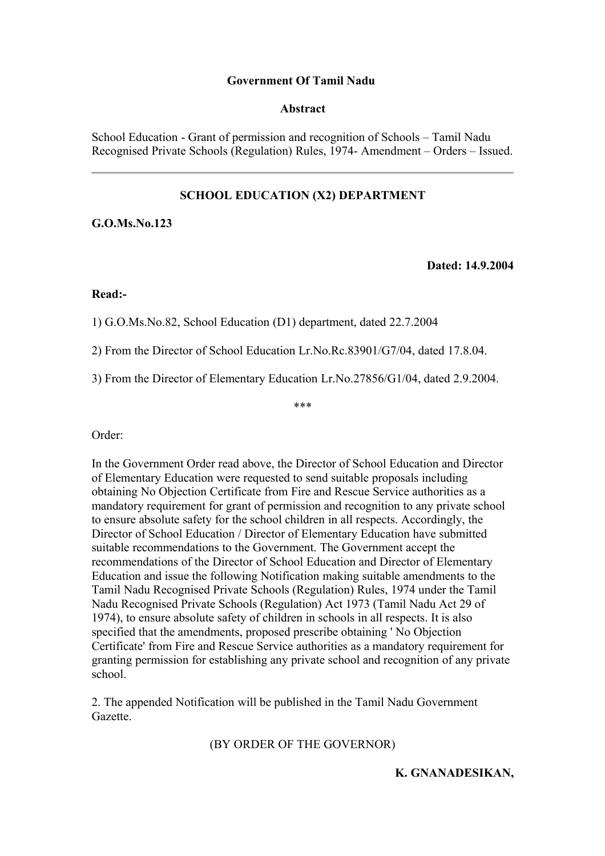## **Government Of Tamil Nadu**

#### **Abstract**

School Education - Grant of permission and recognition of Schools – Tamil Nadu Recognised Private Schools (Regulation) Rules, 1974- Amendment – Orders – Issued.

# **SCHOOL EDUCATION (X2) DEPARTMENT**

**G.O.Ms.No.123**

**Dated: 14.9.2004**

#### **Read:-**

1) G.O.Ms.No.82, School Education (D1) department, dated 22.7.2004

2) From the Director of School Education Lr.No.Rc.83901/G7/04, dated 17.8.04.

3) From the Director of Elementary Education Lr.No.27856/G1/04, dated 2.9.2004.

\*\*\*

Order:

In the Government Order read above, the Director of School Education and Director of Elementary Education were requested to send suitable proposals including obtaining No Objection Certificate from Fire and Rescue Service authorities as a mandatory requirement for grant of permission and recognition to any private school to ensure absolute safety for the school children in all respects. Accordingly, the Director of School Education / Director of Elementary Education have submitted suitable recommendations to the Government. The Government accept the recommendations of the Director of School Education and Director of Elementary Education and issue the following Notification making suitable amendments to the Tamil Nadu Recognised Private Schools (Regulation) Rules, 1974 under the Tamil Nadu Recognised Private Schools (Regulation) Act 1973 (Tamil Nadu Act 29 of 1974), to ensure absolute safety of children in schools in all respects. It is also specified that the amendments, proposed prescribe obtaining ' No Objection Certificate' from Fire and Rescue Service authorities as a mandatory requirement for granting permission for establishing any private school and recognition of any private school.

2. The appended Notification will be published in the Tamil Nadu Government Gazette.

(BY ORDER OF THE GOVERNOR)

**K. GNANADESIKAN,**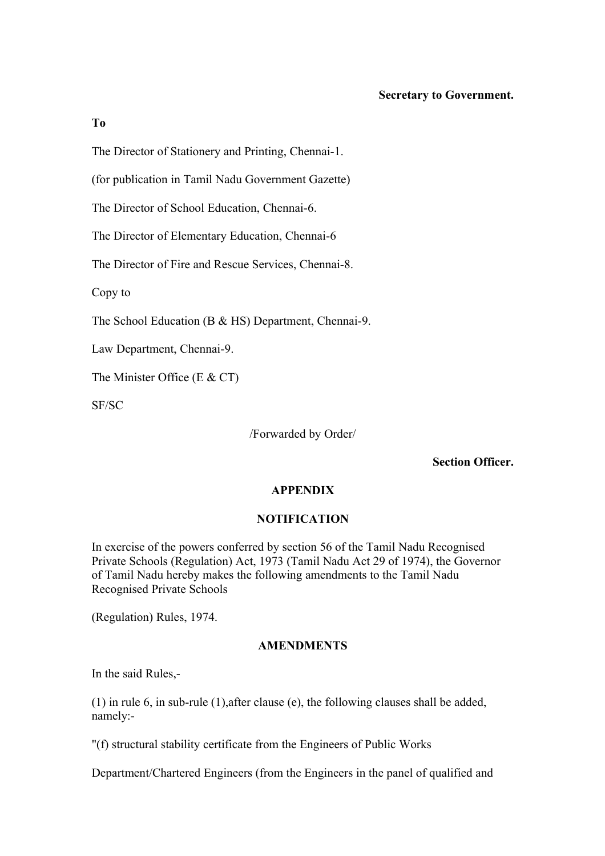## **Secretary to Government.**

#### **To**

The Director of Stationery and Printing, Chennai-1.

(for publication in Tamil Nadu Government Gazette)

The Director of School Education, Chennai-6.

The Director of Elementary Education, Chennai-6

The Director of Fire and Rescue Services, Chennai-8.

Copy to

The School Education (B & HS) Department, Chennai-9.

Law Department, Chennai-9.

The Minister Office (E & CT)

SF/SC

/Forwarded by Order/

**Section Officer.**

## **APPENDIX**

# **NOTIFICATION**

In exercise of the powers conferred by section 56 of the Tamil Nadu Recognised Private Schools (Regulation) Act, 1973 (Tamil Nadu Act 29 of 1974), the Governor of Tamil Nadu hereby makes the following amendments to the Tamil Nadu Recognised Private Schools

(Regulation) Rules, 1974.

## **AMENDMENTS**

In the said Rules,-

(1) in rule 6, in sub-rule (1),after clause (e), the following clauses shall be added, namely:-

"(f) structural stability certificate from the Engineers of Public Works

Department/Chartered Engineers (from the Engineers in the panel of qualified and